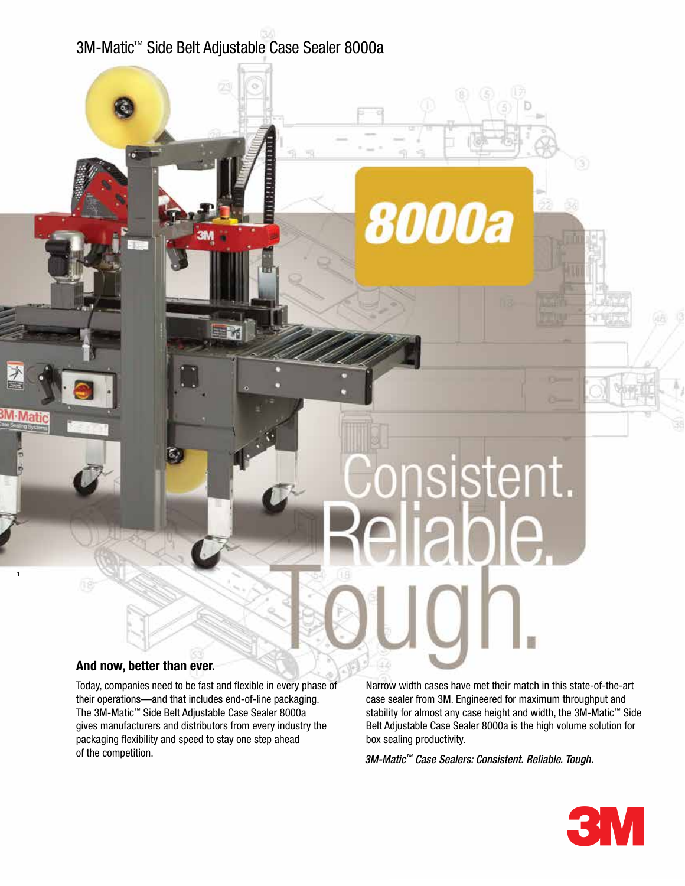# 3M-Matic™ Side Belt Adjustable Case Sealer 8000a

## **And now, better than ever.**

1

Today, companies need to be fast and flexible in every phase of their operations—and that includes end-of-line packaging. The 3M-Matic™ Side Belt Adjustable Case Sealer 8000a gives manufacturers and distributors from every industry the packaging flexibility and speed to stay one step ahead of the competition.

Narrow width cases have met their match in this state-of-the-art case sealer from 3M. Engineered for maximum throughput and stability for almost any case height and width, the 3M-Matic<sup>™</sup> Side Belt Adjustable Case Sealer 8000a is the high volume solution for box sealing productivity.

*3M-Matic™ Case Sealers: Consistent. Reliable. Tough.*

insistent.

ible.

**8000a**